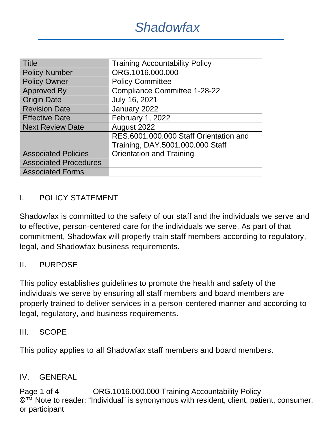| Title                        | <b>Training Accountability Policy</b>  |
|------------------------------|----------------------------------------|
| <b>Policy Number</b>         | ORG.1016.000.000                       |
| <b>Policy Owner</b>          | <b>Policy Committee</b>                |
| <b>Approved By</b>           | <b>Compliance Committee 1-28-22</b>    |
| <b>Origin Date</b>           | July 16, 2021                          |
| <b>Revision Date</b>         | January 2022                           |
| <b>Effective Date</b>        | February 1, 2022                       |
| Next Review Date             | August 2022                            |
|                              | RES.6001.000.000 Staff Orientation and |
|                              | Training, DAY.5001.000.000 Staff       |
| <b>Associated Policies</b>   | <b>Orientation and Training</b>        |
| <b>Associated Procedures</b> |                                        |
| <b>Associated Forms</b>      |                                        |

## I. POLICY STATEMENT

Shadowfax is committed to the safety of our staff and the individuals we serve and to effective, person-centered care for the individuals we serve. As part of that commitment, Shadowfax will properly train staff members according to regulatory, legal, and Shadowfax business requirements.

### II. PURPOSE

This policy establishes guidelines to promote the health and safety of the individuals we serve by ensuring all staff members and board members are properly trained to deliver services in a person-centered manner and according to legal, regulatory, and business requirements.

#### III. SCOPE

This policy applies to all Shadowfax staff members and board members.

#### IV. GENERAL

Page 1 of 4 ORG.1016.000.000 Training Accountability Policy ©™ Note to reader: "Individual" is synonymous with resident, client, patient, consumer, or participant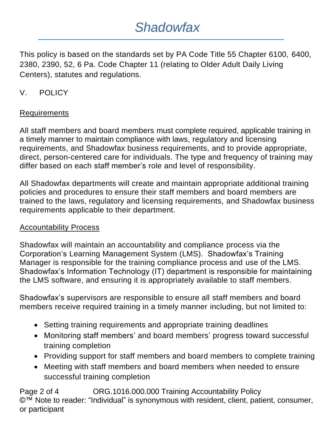# *Shadowfax*

This policy is based on the standards set by PA Code Title 55 Chapter 6100, 6400, 2380, 2390, 52, 6 Pa. Code Chapter 11 (relating to Older Adult Daily Living Centers), statutes and regulations.

## V. POLICY

### Requirements

All staff members and board members must complete required, applicable training in a timely manner to maintain compliance with laws, regulatory and licensing requirements, and Shadowfax business requirements, and to provide appropriate, direct, person-centered care for individuals. The type and frequency of training may differ based on each staff member's role and level of responsibility.

All Shadowfax departments will create and maintain appropriate additional training policies and procedures to ensure their staff members and board members are trained to the laws, regulatory and licensing requirements, and Shadowfax business requirements applicable to their department.

### Accountability Process

Shadowfax will maintain an accountability and compliance process via the Corporation's Learning Management System (LMS). Shadowfax's Training Manager is responsible for the training compliance process and use of the LMS. Shadowfax's Information Technology (IT) department is responsible for maintaining the LMS software, and ensuring it is appropriately available to staff members.

Shadowfax's supervisors are responsible to ensure all staff members and board members receive required training in a timely manner including, but not limited to:

- Setting training requirements and appropriate training deadlines
- Monitoring staff members' and board members' progress toward successful training completion
- Providing support for staff members and board members to complete training
- Meeting with staff members and board members when needed to ensure successful training completion

Page 2 of 4 ORG.1016.000.000 Training Accountability Policy ©™ Note to reader: "Individual" is synonymous with resident, client, patient, consumer, or participant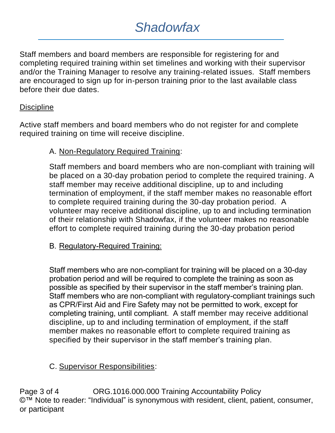## *Shadowfax*

Staff members and board members are responsible for registering for and completing required training within set timelines and working with their supervisor and/or the Training Manager to resolve any training-related issues. Staff members are encouraged to sign up for in-person training prior to the last available class before their due dates.

### **Discipline**

Active staff members and board members who do not register for and complete required training on time will receive discipline.

## A. Non-Regulatory Required Training:

Staff members and board members who are non-compliant with training will be placed on a 30-day probation period to complete the required training. A staff member may receive additional discipline, up to and including termination of employment, if the staff member makes no reasonable effort to complete required training during the 30-day probation period. A volunteer may receive additional discipline, up to and including termination of their relationship with Shadowfax, if the volunteer makes no reasonable effort to complete required training during the 30-day probation period

## B. Regulatory-Required Training:

Staff members who are non-compliant for training will be placed on a 30-day probation period and will be required to complete the training as soon as possible as specified by their supervisor in the staff member's training plan. Staff members who are non-compliant with regulatory-compliant trainings such as CPR/First Aid and Fire Safety may not be permitted to work, except for completing training, until compliant. A staff member may receive additional discipline, up to and including termination of employment, if the staff member makes no reasonable effort to complete required training as specified by their supervisor in the staff member's training plan.

## C. Supervisor Responsibilities:

Page 3 of 4 ORG.1016.000.000 Training Accountability Policy ©™ Note to reader: "Individual" is synonymous with resident, client, patient, consumer, or participant